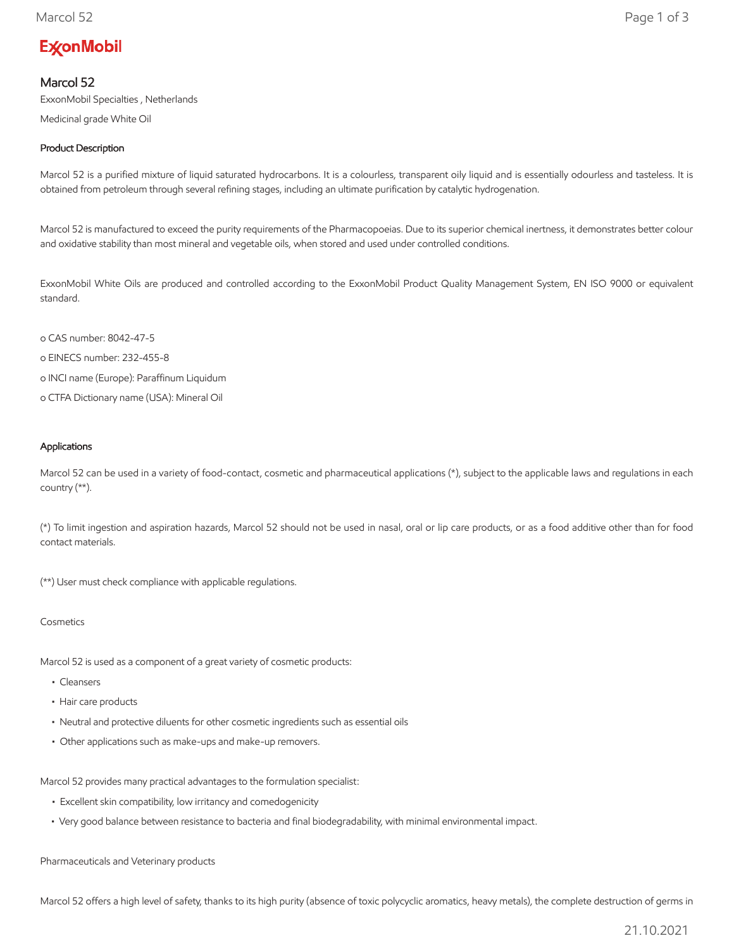# **ExconMobil**

# Marcol 52

ExxonMobil Specialties , Netherlands

Medicinal grade White Oil

# Product Description

Marcol 52 is a purified mixture of liquid saturated hydrocarbons. It is a colourless, transparent oily liquid and is essentially odourless and tasteless. It is obtained from petroleum through several refining stages, including an ultimate purification by catalytic hydrogenation.

Marcol 52 is manufactured to exceed the purity requirements of the Pharmacopoeias. Due to its superior chemical inertness, it demonstrates better colour and oxidative stability than most mineral and vegetable oils, when stored and used under controlled conditions.

ExxonMobil White Oils are produced and controlled according to the ExxonMobil Product Quality Management System, EN ISO 9000 or equivalent standard.

- o CAS number: 8042-47-5
- o EINECS number: 232-455-8
- o INCI name (Europe): Paraffinum Liquidum
- o CTFA Dictionary name (USA): Mineral Oil

#### Applications

Marcol 52 can be used in a variety of food-contact, cosmetic and pharmaceutical applications (\*), subject to the applicable laws and regulations in each country (\*\*).

(\*) To limit ingestion and aspiration hazards, Marcol 52 should not be used in nasal, oral or lip care products, or as a food additive other than for food contact materials.

(\*\*) User must check compliance with applicable regulations.

#### Cosmetics

Marcol 52 is used as a component of a great variety of cosmetic products:

- Cleansers
- Hair care products
- Neutral and protective diluents for other cosmetic ingredients such as essential oils
- Other applications such as make-ups and make-up removers.

Marcol 52 provides many practical advantages to the formulation specialist:

- Excellent skin compatibility, low irritancy and comedogenicity
- Very good balance between resistance to bacteria and final biodegradability, with minimal environmental impact.

Pharmaceuticals and Veterinary products

Marcol 52 offers a high level of safety, thanks to its high purity (absence of toxic polycyclic aromatics, heavy metals), the complete destruction of germs in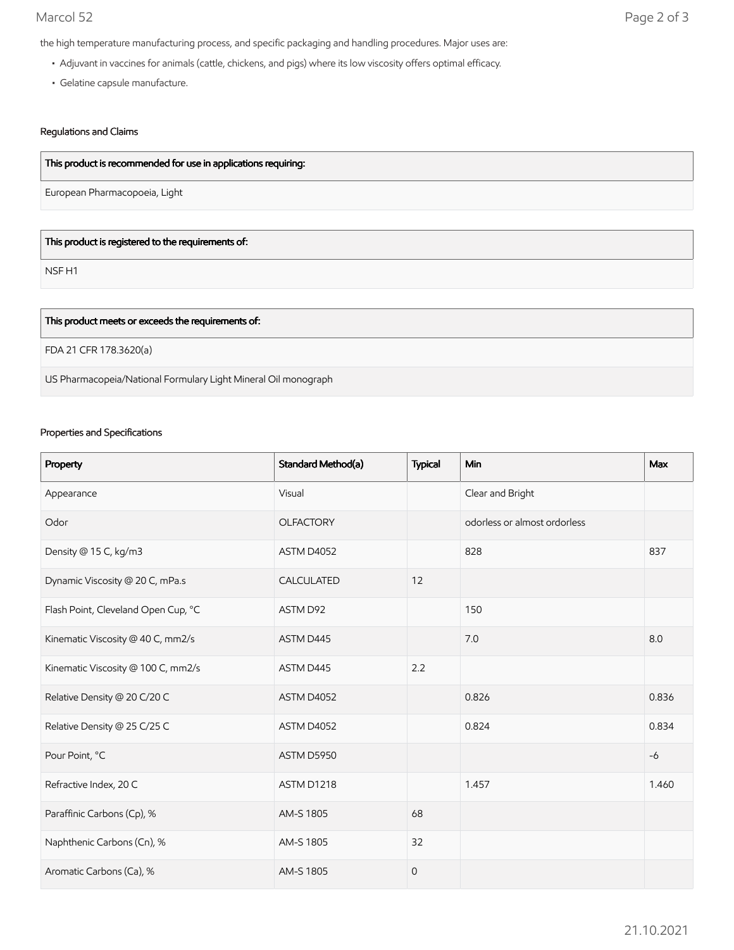the high temperature manufacturing process, and specific packaging and handling procedures. Major uses are:

- Adjuvant in vaccines for animals (cattle, chickens, and pigs) where its low viscosity offers optimal efficacy.
- Gelatine capsule manufacture.

## Regulations and Claims

# This product is recommended for use in applications requiring:

European Pharmacopoeia, Light

## This product is registered to the requirements of:

NSF H1

| This product meets or exceeds the requirements of:             |
|----------------------------------------------------------------|
| FDA 21 CFR 178.3620(a)                                         |
| US Pharmacopeia/National Formulary Light Mineral Oil monograph |

#### Properties and Specifications

| Property                            | Standard Method(a) | <b>Typical</b> | <b>Min</b>                   | Max   |
|-------------------------------------|--------------------|----------------|------------------------------|-------|
| Appearance                          | Visual             |                | Clear and Bright             |       |
| Odor                                | <b>OLFACTORY</b>   |                | odorless or almost ordorless |       |
| Density @ 15 C, kg/m3               | ASTM D4052         |                | 828                          | 837   |
| Dynamic Viscosity @ 20 C, mPa.s     | CALCULATED         | 12             |                              |       |
| Flash Point, Cleveland Open Cup, °C | ASTM D92           |                | 150                          |       |
| Kinematic Viscosity @ 40 C, mm2/s   | ASTM D445          |                | 7.0                          | 8.0   |
| Kinematic Viscosity @ 100 C, mm2/s  | ASTM D445          | 2.2            |                              |       |
| Relative Density @ 20 C/20 C        | ASTM D4052         |                | 0.826                        | 0.836 |
| Relative Density @ 25 C/25 C        | ASTM D4052         |                | 0.824                        | 0.834 |
| Pour Point, °C                      | ASTM D5950         |                |                              | $-6$  |
| Refractive Index, 20 C              | ASTM D1218         |                | 1.457                        | 1.460 |
| Paraffinic Carbons (Cp), %          | AM-S 1805          | 68             |                              |       |
| Naphthenic Carbons (Cn), %          | AM-S 1805          | 32             |                              |       |
| Aromatic Carbons (Ca), %            | AM-S 1805          | $\mathbf{O}$   |                              |       |